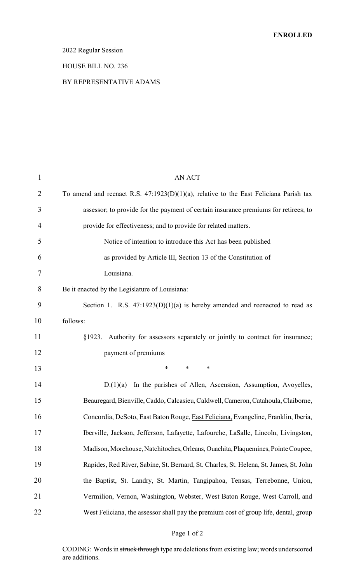# 2022 Regular Session

#### HOUSE BILL NO. 236

#### BY REPRESENTATIVE ADAMS

| $\mathbf{1}$ | <b>AN ACT</b>                                                                            |
|--------------|------------------------------------------------------------------------------------------|
| 2            | To amend and reenact R.S. $47:1923(D)(1)(a)$ , relative to the East Feliciana Parish tax |
| 3            | assessor; to provide for the payment of certain insurance premiums for retirees; to      |
| 4            | provide for effectiveness; and to provide for related matters.                           |
| 5            | Notice of intention to introduce this Act has been published                             |
| 6            | as provided by Article III, Section 13 of the Constitution of                            |
| 7            | Louisiana.                                                                               |
| 8            | Be it enacted by the Legislature of Louisiana:                                           |
| 9            | Section 1. R.S. $47:1923(D)(1)(a)$ is hereby amended and reenacted to read as            |
| 10           | follows:                                                                                 |
| 11           | §1923. Authority for assessors separately or jointly to contract for insurance;          |
| 12           | payment of premiums                                                                      |
| 13           | $\ast$<br>∗<br>∗                                                                         |
| 14           | In the parishes of Allen, Ascension, Assumption, Avoyelles,<br>D(1)(a)                   |
| 15           | Beauregard, Bienville, Caddo, Calcasieu, Caldwell, Cameron, Catahoula, Claiborne,        |
| 16           | Concordia, DeSoto, East Baton Rouge, East Feliciana, Evangeline, Franklin, Iberia,       |
| 17           | Iberville, Jackson, Jefferson, Lafayette, Lafourche, LaSalle, Lincoln, Livingston,       |
| 18           | Madison, Morehouse, Natchitoches, Orleans, Ouachita, Plaquemines, Pointe Coupee,         |
| 19           | Rapides, Red River, Sabine, St. Bernard, St. Charles, St. Helena, St. James, St. John    |
| 20           | the Baptist, St. Landry, St. Martin, Tangipahoa, Tensas, Terrebonne, Union,              |
| 21           | Vermilion, Vernon, Washington, Webster, West Baton Rouge, West Carroll, and              |
| 22           | West Feliciana, the assessor shall pay the premium cost of group life, dental, group     |

# Page 1 of 2

CODING: Words in struck through type are deletions from existing law; words underscored are additions.